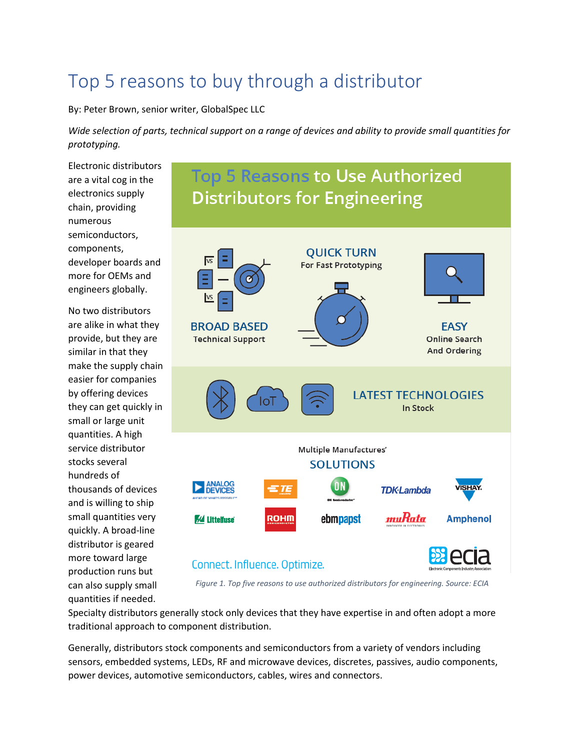# Top 5 reasons to buy through a distributor

By: Peter Brown, senior writer, GlobalSpec LLC

*Wide selection of parts, technical support on a range of devices and ability to provide small quantities for prototyping.*

**Top 5 Reasons to Use Authorized** 

Electronic distributors are a vital cog in the electronics supply chain, providing numerous semiconductors, components, developer boards and more for OEMs and engineers globally.

No two distributors are alike in what they provide, but they are similar in that they make the supply chain easier for companies by offering devices they can get quickly in small or large unit quantities. A high service distributor stocks several hundreds of thousands of devices and is willing to ship small quantities very quickly. A broad-line distributor is geared more toward large production runs but can also supply small quantities if needed.



*Figure 1. Top five reasons to use authorized distributors for engineering. Source: ECIA*

Specialty distributors generally stock only devices that they have expertise in and often adopt a more traditional approach to component distribution.

Generally, distributors stock components and semiconductors from a variety of vendors including sensors, embedded systems, LEDs, RF and microwave devices, discretes, passives, audio components, power devices, automotive semiconductors, cables, wires and connectors.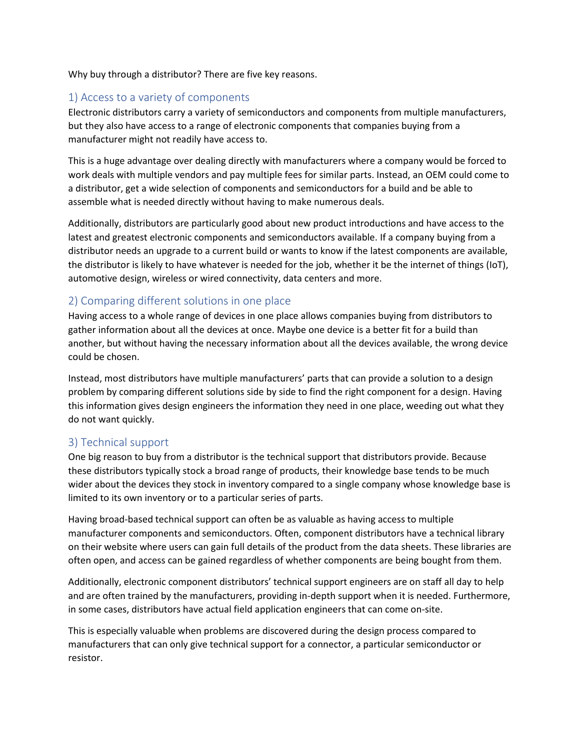Why buy through a distributor? There are five key reasons.

## 1) Access to a variety of components

Electronic distributors carry a variety of semiconductors and components from multiple manufacturers, but they also have access to a range of electronic components that companies buying from a manufacturer might not readily have access to.

This is a huge advantage over dealing directly with manufacturers where a company would be forced to work deals with multiple vendors and pay multiple fees for similar parts. Instead, an OEM could come to a distributor, get a wide selection of components and semiconductors for a build and be able to assemble what is needed directly without having to make numerous deals.

Additionally, distributors are particularly good about new product introductions and have access to the latest and greatest electronic components and semiconductors available. If a company buying from a distributor needs an upgrade to a current build or wants to know if the latest components are available, the distributor is likely to have whatever is needed for the job, whether it be the internet of things (IoT), automotive design, wireless or wired connectivity, data centers and more.

## 2) Comparing different solutions in one place

Having access to a whole range of devices in one place allows companies buying from distributors to gather information about all the devices at once. Maybe one device is a better fit for a build than another, but without having the necessary information about all the devices available, the wrong device could be chosen.

Instead, most distributors have multiple manufacturers' parts that can provide a solution to a design problem by comparing different solutions side by side to find the right component for a design. Having this information gives design engineers the information they need in one place, weeding out what they do not want quickly.

## 3) Technical support

One big reason to buy from a distributor is the technical support that distributors provide. Because these distributors typically stock a broad range of products, their knowledge base tends to be much wider about the devices they stock in inventory compared to a single company whose knowledge base is limited to its own inventory or to a particular series of parts.

Having broad-based technical support can often be as valuable as having access to multiple manufacturer components and semiconductors. Often, component distributors have a technical library on their website where users can gain full details of the product from the data sheets. These libraries are often open, and access can be gained regardless of whether components are being bought from them.

Additionally, electronic component distributors' technical support engineers are on staff all day to help and are often trained by the manufacturers, providing in-depth support when it is needed. Furthermore, in some cases, distributors have actual field application engineers that can come on-site.

This is especially valuable when problems are discovered during the design process compared to manufacturers that can only give technical support for a connector, a particular semiconductor or resistor.